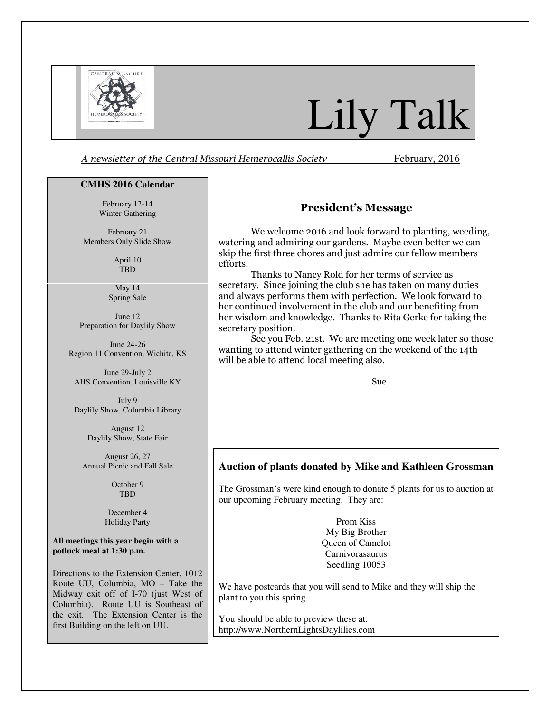

# Lily Talk

A newsletter of the Central Missouri Hemerocallis Society February, 2016

### **CMHS 2016 Calendar**

February 12-14 Winter Gathering

February 21 Members Only Slide Show

> April 10 TBD

May 14 Spring Sale

June 12 Preparation for Daylily Show

June 24-26 Region 11 Convention, Wichita, KS

June 29-July 2 AHS Convention, Louisville KY

July 9 Daylily Show, Columbia Library

> August 12 Daylily Show, State Fair

August 26, 27 Annual Picnic and Fall Sale

> October 9 **TBD**

December 4 Holiday Party

**All meetings this year begin with a potluck meal at 1:30 p.m.** 

Directions to the Extension Center, 1012 Route UU, Columbia, MO – Take the Midway exit off of I-70 (just West of Columbia). Route UU is Southeast of the exit. The Extension Center is the first Building on the left on UU.

# President's Message

We welcome 2016 and look forward to planting, weeding, watering and admiring our gardens. Maybe even better we can skip the first three chores and just admire our fellow members efforts.

Thanks to Nancy Rold for her terms of service as secretary. Since joining the club she has taken on many duties and always performs them with perfection. We look forward to her continued involvement in the club and our benefiting from her wisdom and knowledge. Thanks to Rita Gerke for taking the secretary position.

See you Feb. 21st. We are meeting one week later so those wanting to attend winter gathering on the weekend of the 14th will be able to attend local meeting also.

Sue

# **Auction of plants donated by Mike and Kathleen Grossman**

The Grossman's were kind enough to donate 5 plants for us to auction at our upcoming February meeting. They are:

> Prom Kiss My Big Brother Queen of Camelot Carnivorasaurus Seedling 10053

We have postcards that you will send to Mike and they will ship the plant to you this spring.

You should be able to preview these at: http://www.NorthernLightsDaylilies.com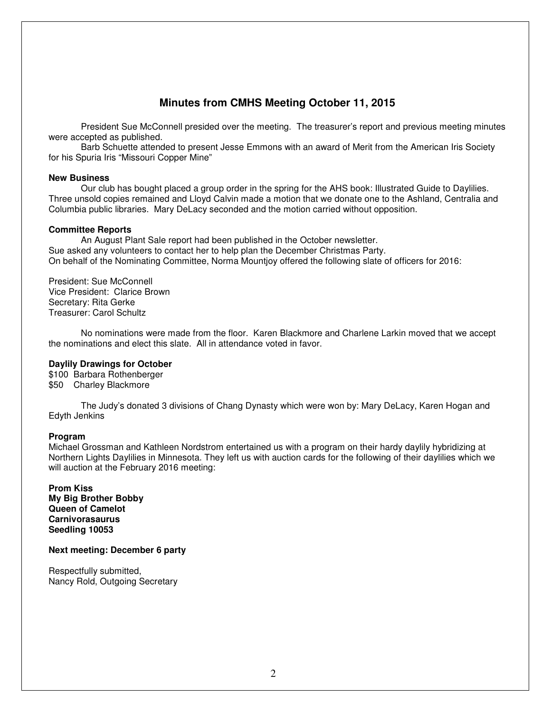# **Minutes from CMHS Meeting October 11, 2015**

President Sue McConnell presided over the meeting. The treasurer's report and previous meeting minutes were accepted as published.

Barb Schuette attended to present Jesse Emmons with an award of Merit from the American Iris Society for his Spuria Iris "Missouri Copper Mine"

## **New Business**

Our club has bought placed a group order in the spring for the AHS book: Illustrated Guide to Daylilies. Three unsold copies remained and Lloyd Calvin made a motion that we donate one to the Ashland, Centralia and Columbia public libraries. Mary DeLacy seconded and the motion carried without opposition.

# **Committee Reports**

An August Plant Sale report had been published in the October newsletter. Sue asked any volunteers to contact her to help plan the December Christmas Party. On behalf of the Nominating Committee, Norma Mountjoy offered the following slate of officers for 2016:

President: Sue McConnell Vice President: Clarice Brown Secretary: Rita Gerke Treasurer: Carol Schultz

No nominations were made from the floor. Karen Blackmore and Charlene Larkin moved that we accept the nominations and elect this slate. All in attendance voted in favor.

# **Daylily Drawings for October**

\$100 Barbara Rothenberger \$50 Charley Blackmore

The Judy's donated 3 divisions of Chang Dynasty which were won by: Mary DeLacy, Karen Hogan and Edyth Jenkins

# **Program**

Michael Grossman and Kathleen Nordstrom entertained us with a program on their hardy daylily hybridizing at Northern Lights Daylilies in Minnesota. They left us with auction cards for the following of their daylilies which we will auction at the February 2016 meeting:

**Prom Kiss My Big Brother Bobby Queen of Camelot Carnivorasaurus Seedling 10053** 

**Next meeting: December 6 party** 

Respectfully submitted, Nancy Rold, Outgoing Secretary